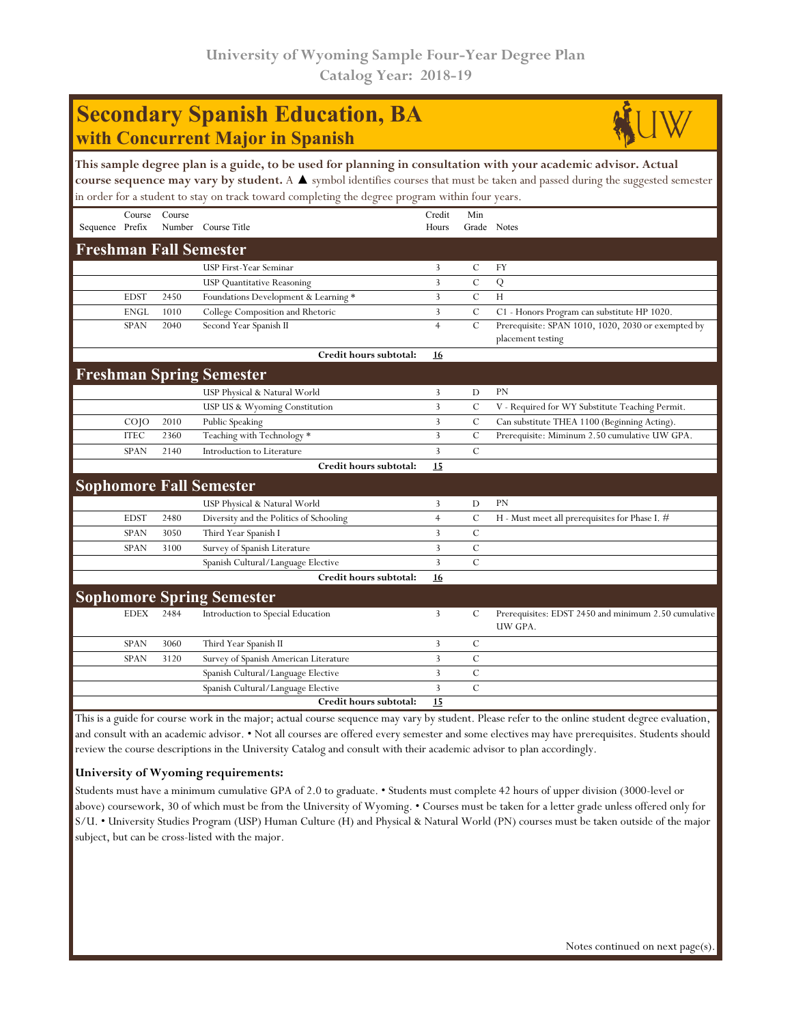# **Secondary Spanish Education, BA with Concurrent Major in Spanish**



**This sample degree plan is a guide, to be used for planning in consultation with your academic advisor. Actual course sequence may vary by student.** A ▲ symbol identifies courses that must be taken and passed during the suggested semester in order for a student to stay on track toward completing the degree program within four years.

|                                  | Course            | Course |                                         | Credit         | Min           |                                                      |  |  |
|----------------------------------|-------------------|--------|-----------------------------------------|----------------|---------------|------------------------------------------------------|--|--|
| Sequence Prefix                  |                   | Number | Course Title                            | Hours          |               | Grade Notes                                          |  |  |
| <b>Freshman Fall Semester</b>    |                   |        |                                         |                |               |                                                      |  |  |
|                                  |                   |        | USP First-Year Seminar                  | 3              | $\mathcal{C}$ | <b>FY</b>                                            |  |  |
|                                  |                   |        | <b>USP Quantitative Reasoning</b>       | 3              | $\mathcal{C}$ | Q                                                    |  |  |
|                                  | <b>EDST</b>       | 2450   | Foundations Development & Learning *    | $\overline{3}$ | $\mathbf C$   | H                                                    |  |  |
|                                  | <b>ENGL</b>       | 1010   | College Composition and Rhetoric        | 3              | $\mathcal{C}$ | C1 - Honors Program can substitute HP 1020.          |  |  |
|                                  | <b>SPAN</b>       | 2040   | Second Year Spanish II                  | $\overline{4}$ | $\mathcal{C}$ | Prerequisite: SPAN 1010, 1020, 2030 or exempted by   |  |  |
|                                  |                   |        |                                         |                |               | placement testing                                    |  |  |
|                                  |                   |        | Credit hours subtotal:                  | 16             |               |                                                      |  |  |
|                                  |                   |        | <b>Freshman Spring Semester</b>         |                |               |                                                      |  |  |
|                                  |                   |        | USP Physical & Natural World            | 3              | D             | <b>PN</b>                                            |  |  |
|                                  |                   |        | USP US & Wyoming Constitution           | 3              | $\mathbf C$   | V - Required for WY Substitute Teaching Permit.      |  |  |
|                                  | CO <sub>1</sub> O | 2010   | Public Speaking                         | 3              | $\mathbf C$   | Can substitute THEA 1100 (Beginning Acting).         |  |  |
|                                  | <b>ITEC</b>       | 2360   | Teaching with Technology *              | $\overline{3}$ | $\mathbf C$   | Prerequisite: Miminum 2.50 cumulative UW GPA.        |  |  |
|                                  | <b>SPAN</b>       | 2140   | Introduction to Literature              | $\overline{3}$ | $\mathcal{C}$ |                                                      |  |  |
|                                  |                   |        | Credit hours subtotal:                  | 15             |               |                                                      |  |  |
| <b>Sophomore Fall Semester</b>   |                   |        |                                         |                |               |                                                      |  |  |
|                                  |                   |        | USP Physical & Natural World            | 3              | D             | <b>PN</b>                                            |  |  |
|                                  | <b>EDST</b>       | 2480   | Diversity and the Politics of Schooling | $\overline{4}$ | $\mathcal{C}$ | H - Must meet all prerequisites for Phase I. #       |  |  |
|                                  | <b>SPAN</b>       | 3050   | Third Year Spanish I                    | 3              | $\cal C$      |                                                      |  |  |
|                                  | <b>SPAN</b>       | 3100   | Survey of Spanish Literature            | 3              | $\mathbf C$   |                                                      |  |  |
|                                  |                   |        | Spanish Cultural/Language Elective      | 3              | $\mathcal{C}$ |                                                      |  |  |
|                                  |                   |        | Credit hours subtotal:                  | 16             |               |                                                      |  |  |
| <b>Sophomore Spring Semester</b> |                   |        |                                         |                |               |                                                      |  |  |
|                                  | <b>EDEX</b>       | 2484   | Introduction to Special Education       | 3              | C             | Prerequisites: EDST 2450 and minimum 2.50 cumulative |  |  |
|                                  |                   |        |                                         |                |               | UW GPA.                                              |  |  |
|                                  | <b>SPAN</b>       | 3060   | Third Year Spanish II                   | 3              | $\mathcal{C}$ |                                                      |  |  |
|                                  | <b>SPAN</b>       | 3120   | Survey of Spanish American Literature   | 3              | $\mathbf C$   |                                                      |  |  |
|                                  |                   |        | Spanish Cultural/Language Elective      | 3              | $\mathcal{C}$ |                                                      |  |  |
|                                  |                   |        | Spanish Cultural/Language Elective      | 3              | $\mathcal{C}$ |                                                      |  |  |
|                                  |                   |        | Credit hours subtotal:                  | 15             |               |                                                      |  |  |

This is a guide for course work in the major; actual course sequence may vary by student. Please refer to the online student degree evaluation, and consult with an academic advisor. • Not all courses are offered every semester and some electives may have prerequisites. Students should review the course descriptions in the University Catalog and consult with their academic advisor to plan accordingly.

## **University of Wyoming requirements:**

Students must have a minimum cumulative GPA of 2.0 to graduate. • Students must complete 42 hours of upper division (3000-level or above) coursework, 30 of which must be from the University of Wyoming. • Courses must be taken for a letter grade unless offered only for S/U. • University Studies Program (USP) Human Culture (H) and Physical & Natural World (PN) courses must be taken outside of the major subject, but can be cross-listed with the major.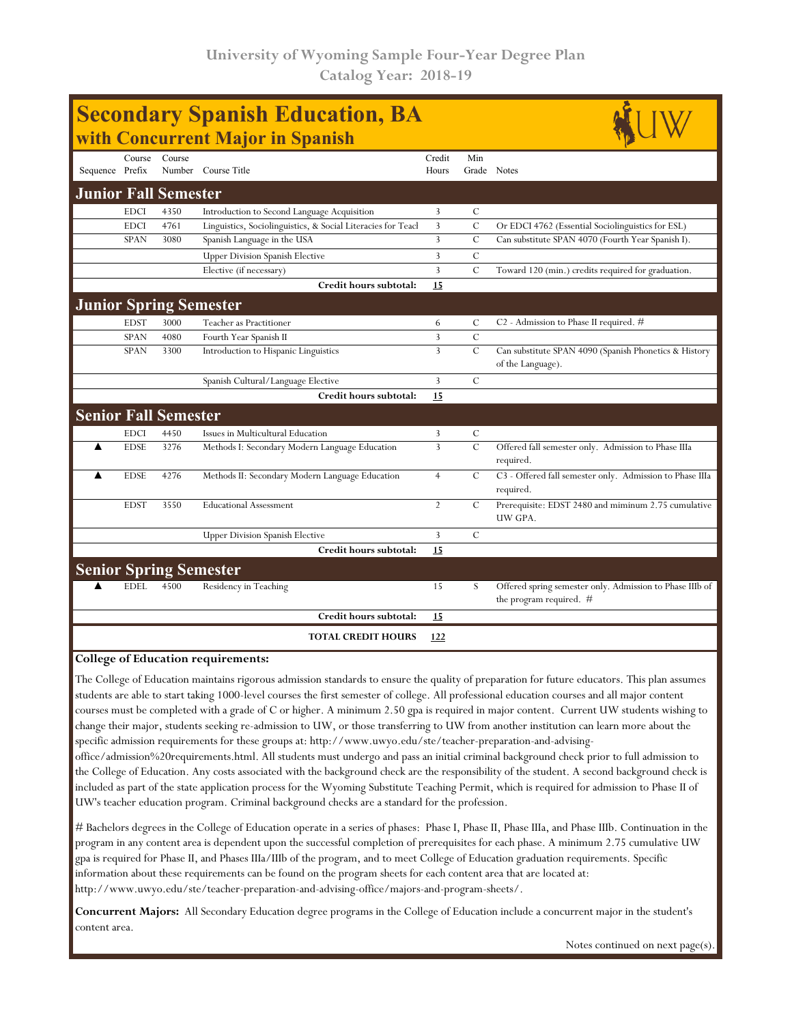| <b>Secondary Spanish Education, BA</b><br>with Concurrent Major in Spanish |             |                             |                                                              |                 |               |                                                                                       |  |  |  |  |
|----------------------------------------------------------------------------|-------------|-----------------------------|--------------------------------------------------------------|-----------------|---------------|---------------------------------------------------------------------------------------|--|--|--|--|
| Sequence Prefix                                                            | Course      | Course                      | Number Course Title                                          | Credit<br>Hours | Min           | Grade Notes                                                                           |  |  |  |  |
| <b>Junior Fall Semester</b>                                                |             |                             |                                                              |                 |               |                                                                                       |  |  |  |  |
|                                                                            | <b>EDCI</b> | 4350                        | Introduction to Second Language Acquisition                  | 3               | $\mathcal{C}$ |                                                                                       |  |  |  |  |
|                                                                            | <b>EDCI</b> | 4761                        | Linguistics, Sociolinguistics, & Social Literacies for Teacl | 3               | $\mathcal{C}$ | Or EDCI 4762 (Essential Sociolinguistics for ESL)                                     |  |  |  |  |
|                                                                            | <b>SPAN</b> | 3080                        | Spanish Language in the USA                                  | 3               | $\mathcal{C}$ | Can substitute SPAN 4070 (Fourth Year Spanish I).                                     |  |  |  |  |
|                                                                            |             |                             | <b>Upper Division Spanish Elective</b>                       | 3               | $\mathcal{C}$ |                                                                                       |  |  |  |  |
|                                                                            |             |                             | Elective (if necessary)                                      | 3               | $\mathcal{C}$ | Toward 120 (min.) credits required for graduation.                                    |  |  |  |  |
|                                                                            |             |                             | Credit hours subtotal:                                       | 15              |               |                                                                                       |  |  |  |  |
|                                                                            |             |                             | <b>Junior Spring Semester</b>                                |                 |               |                                                                                       |  |  |  |  |
|                                                                            | <b>EDST</b> | 3000                        | Teacher as Practitioner                                      | 6               | C             | C2 - Admission to Phase II required. #                                                |  |  |  |  |
|                                                                            | <b>SPAN</b> | 4080                        | Fourth Year Spanish II                                       | $\overline{3}$  | $\mathcal{C}$ |                                                                                       |  |  |  |  |
|                                                                            | <b>SPAN</b> | 3300                        | Introduction to Hispanic Linguistics                         | 3               | $\mathcal{C}$ | Can substitute SPAN 4090 (Spanish Phonetics & History                                 |  |  |  |  |
|                                                                            |             |                             |                                                              |                 |               | of the Language).                                                                     |  |  |  |  |
|                                                                            |             |                             | Spanish Cultural/Language Elective                           | 3               | $\mathcal{C}$ |                                                                                       |  |  |  |  |
|                                                                            |             |                             | Credit hours subtotal:                                       | 15              |               |                                                                                       |  |  |  |  |
|                                                                            |             | <b>Senior Fall Semester</b> |                                                              |                 |               |                                                                                       |  |  |  |  |
|                                                                            | <b>EDCI</b> | 4450                        | Issues in Multicultural Education                            | 3               | $\mathcal{C}$ |                                                                                       |  |  |  |  |
| ▲                                                                          | <b>EDSE</b> | 3276                        | Methods I: Secondary Modern Language Education               | $\overline{3}$  | $\mathcal{C}$ | Offered fall semester only. Admission to Phase IIIa<br>required.                      |  |  |  |  |
| ▲                                                                          | <b>EDSE</b> | 4276                        | Methods II: Secondary Modern Language Education              | $\overline{4}$  | $\mathcal{C}$ | C3 - Offered fall semester only. Admission to Phase IIIa<br>required.                 |  |  |  |  |
|                                                                            | <b>EDST</b> | 3550                        | <b>Educational Assessment</b>                                | $\overline{2}$  | $\mathcal{C}$ | Prerequisite: EDST 2480 and miminum 2.75 cumulative<br>UW GPA.                        |  |  |  |  |
|                                                                            |             |                             | <b>Upper Division Spanish Elective</b>                       | 3               | $\mathcal{C}$ |                                                                                       |  |  |  |  |
|                                                                            |             |                             | Credit hours subtotal:                                       | 15              |               |                                                                                       |  |  |  |  |
| <b>Senior Spring Semester</b>                                              |             |                             |                                                              |                 |               |                                                                                       |  |  |  |  |
|                                                                            | <b>EDEL</b> | 4500                        | Residency in Teaching                                        | 15              | S             | Offered spring semester only. Admission to Phase IIIb of<br>the program required. $#$ |  |  |  |  |
|                                                                            |             |                             | Credit hours subtotal:                                       | <u>15</u>       |               |                                                                                       |  |  |  |  |
|                                                                            |             |                             | <b>TOTAL CREDIT HOURS</b>                                    | 122             |               |                                                                                       |  |  |  |  |
|                                                                            |             |                             |                                                              |                 |               |                                                                                       |  |  |  |  |

#### **College of Education requirements:**

The College of Education maintains rigorous admission standards to ensure the quality of preparation for future educators. This plan assumes students are able to start taking 1000-level courses the first semester of college. All professional education courses and all major content courses must be completed with a grade of C or higher. A minimum 2.50 gpa is required in major content. Current UW students wishing to change their major, students seeking re-admission to UW, or those transferring to UW from another institution can learn more about the specific admission requirements for these groups at: http://www.uwyo.edu/ste/teacher-preparation-and-advising-

office/admission%20requirements.html. All students must undergo and pass an initial criminal background check prior to full admission to the College of Education. Any costs associated with the background check are the responsibility of the student. A second background check is included as part of the state application process for the Wyoming Substitute Teaching Permit, which is required for admission to Phase II of UW's teacher education program. Criminal background checks are a standard for the profession.

# Bachelors degrees in the College of Education operate in a series of phases: Phase I, Phase II, Phase IIIa, and Phase IIIb. Continuation in the program in any content area is dependent upon the successful completion of prerequisites for each phase. A minimum 2.75 cumulative UW gpa is required for Phase II, and Phases IIIa/IIIb of the program, and to meet College of Education graduation requirements. Specific information about these requirements can be found on the program sheets for each content area that are located at: http://www.uwyo.edu/ste/teacher-preparation-and-advising-office/majors-and-program-sheets/.

**Concurrent Majors:** All Secondary Education degree programs in the College of Education include a concurrent major in the student's content area.

Notes continued on next page(s).